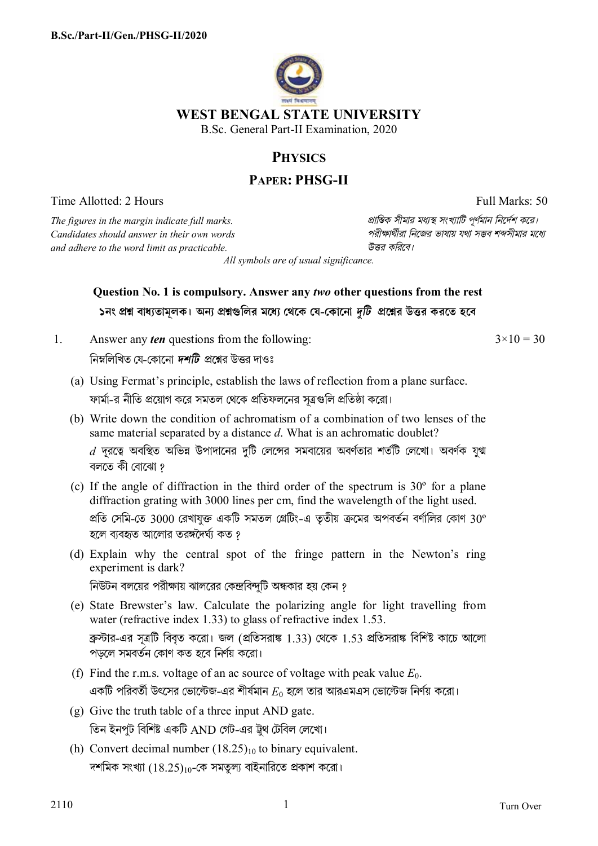

## **PHYSICS**

## **PAPER: PHSG-II**

Time Allotted: 2 Hours Full Marks: 50

*The figures in the margin indicate full marks. pািnক সীমার মধ°s সংখ°ািট পূণমান িনেদশ কের। Candidates should answer in their own words পরীkাথীরা িনেজর ভাষায় যথা সmব শbসীমার মেধ° and adhere to the word limit as practicable. উtর কিরেব।*

*All symbols are of usual significance.*

## **Question No. 1 is compulsory. Answer any** *two* **other questions from the rest**  ১নং প্রশ্ন বাধ্যতামূলক। অন্য প্রশ্নগুলির মধ্যে থেকে যে-কোনো দুটি প্রশ্নের উত্তর করতে হবে

1. Answer any *ten* questions from the following:

 $3 \times 10 = 30$ 

নিম্নলিখিত যে-কোনো *দশটি প্রশ্নে*র উত্তর দাওঃ

- (a) Using Fermat's principle, establish the laws of reflection from a plane surface. ফার্মা-র নীতি প্রয়োগ করে সমতল থেকে প্রতিফলনের সূত্রগুলি প্রতিষ্ঠা করো।
- (b) Write down the condition of achromatism of a combination of two lenses of the same material separated by a distance *d*. What is an achromatic doublet?  $\,d\,$  দূরত্বে অবস্থিত অভিন্ন উপাদানের দুটি লেন্সের সমবায়ের অবর্ণতার শতটি লেখো। অবর্ণক যুগ্ম বলেত কী েবােঝা ?
- (c) If the angle of diffraction in the third order of the spectrum is 30º for a plane diffraction grating with 3000 lines per cm, find the wavelength of the light used. প্রতি সেমি-তে 3000 রেখাযুক্ত একটি সমতল গ্রেটিং-এ তৃতীয় ক্রমের অপবর্তন বর্ণালির কোণ 30° হলে ব্যবহৃত আলোর তরঙ্গদৈর্ঘ্য কত <u>?</u>
- (d) Explain why the central spot of the fringe pattern in the Newton's ring experiment is dark? নিউটন বলয়ের পরীক্ষায় ঝালরের কেন্দ্রবিন্দুটি অন্ধকার হয় কেন ?
- (e) State Brewster's law. Calculate the polarizing angle for light travelling from water (refractive index 1.33) to glass of refractive index 1.53. ব্রুস্টার-এর সূত্রটি বিবৃত করো। জল (প্রতিসরাঙ্ক 1.33) থেকে 1.53 প্রতিসরাঙ্ক বিশিষ্ট কাচে আলাে পড়েল সমবতন েকাণ কত হেব িনণয় কেরা।
- (f) Find the r.m.s. voltage of an ac source of voltage with peak value *E*0. একটি পরিবর্তী উৎসের ভোল্টেজ-এর শীর্ষমান  $E_0$  হলে তার আরএমএস ভোল্টেজ নির্ণয় করো।
- (g) Give the truth table of a three input AND gate. তিন ইনপুট বিশিষ্ট একটি AND গেট-এর ট্রথ টেবিল লেখো।
- (h) Convert decimal number  $(18.25)_{10}$  to binary equivalent. দশমিক সংখ্যা  $(18.25)_{10}$ -কে সমতল্য বাইনারিতে প্রকাশ করো।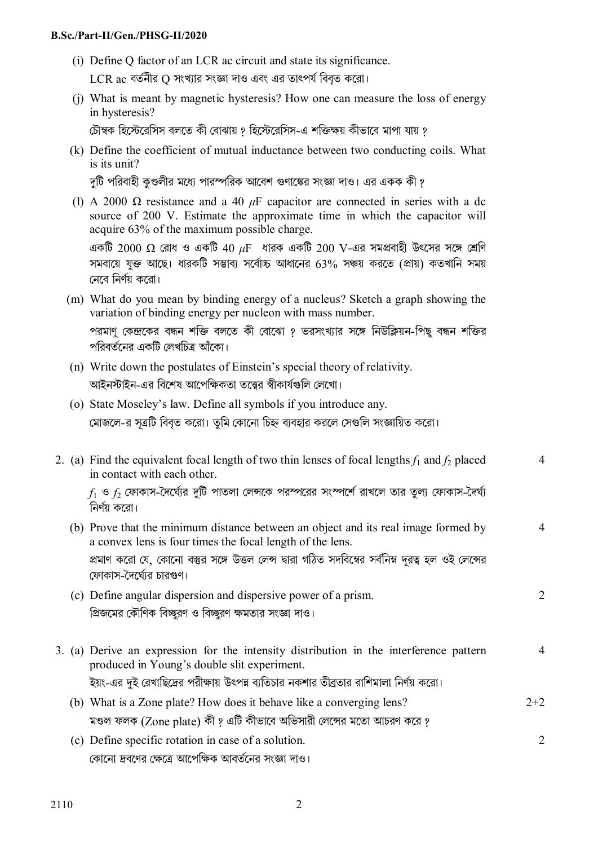## **B.Sc./Part-II/Gen./PHSG-II/2020**

(i) Define Q factor of an LCR ac circuit and state its significance.

 $LCR$  ac বর্তনীর Q সংখ্যার সংজ্ঞা দাও এবং এর তাৎপর্য বিবৃত করো।

(j) What is meant by magnetic hysteresis? How one can measure the loss of energy in hysteresis?

চৌম্বক হিস্টেরেসিস বলতে কী বোঝায় ? হিস্টেরেসিস-এ শক্তিক্ষয় কীভাবে মাপা যায় ?

(k) Define the coefficient of mutual inductance between two conducting coils. What is its unit?

দটি পরিবাহী কণ্ডলীর মধ্যে পারস্পরিক আবেশ গুণাঙ্কের সংজ্ঞা দাও। এর একক কী ?

(l) A 2000 Ω resistance and a 40 *μ*F capacitor are connected in series with a dc source of 200 V. Estimate the approximate time in which the capacitor will acquire 63% of the maximum possible charge.

একটি 2000 Ω রোধ ও একটি 40 μF ধারক একটি 200 V-এর সমপ্রবাহী উৎসের সঙ্গে শ্রেণি সমবায়ে যুক্ত আছে। ধারকটি সম্ভাব্য সর্বোচ্চ আধানের 63% সঞ্চয় করতে (প্রায়) কতখানি সময় নেবে নির্ণয় করো।

- (m) What do you mean by binding energy of a nucleus? Sketch a graph showing the variation of binding energy per nucleon with mass number. পরমাণু কেন্দ্রকের বন্ধন শক্তি বলতে কী বোঝো ? ভরসংখ্যার সঙ্গে নিউক্লিয়ন-পিছু বন্ধন শক্তির পরিবর্তনের একটি লেখচিত্র আঁকো।
- (n) Write down the postulates of Einstein's special theory of relativity. আইনস্টাইন-এর বিশেষ আপেক্ষিকতা তত্ত্বের স্বীকার্যগুলি লেখো।
- (o) State Moseley's law. Define all symbols if you introduce any. মোজলে-র সূত্রটি বিবৃত করো। তুমি কোনো চিহ্ন ব্যবহার করলে সেগুলি সংজ্ঞায়িত করো।

|  | 2. (a) Find the equivalent focal length of two thin lenses of focal lengths $f_1$ and $f_2$ placed<br>in contact with each other.               |                |
|--|-------------------------------------------------------------------------------------------------------------------------------------------------|----------------|
|  | $f_1$ ও $f_2$ ফোকাস-দৈর্ঘ্যের দুটি পাতলা লেন্সকে পরস্পরের সংস্পর্শে রাখলে তার তুল্য ফোকাস-দৈর্ঘ্য<br>নির্ণয় করো।                               |                |
|  | (b) Prove that the minimum distance between an object and its real image formed by<br>a convex lens is four times the focal length of the lens. |                |
|  | প্রমাণ করো যে, কোনো বস্তুর সঙ্গে উত্তল লেন্স দ্বারা গঠিত সদবিম্বের সর্বনিম্ন দূরত্ব হল ওই লেন্সের<br>ফোকাস-দৈর্ঘ্যের চারগুণ।                    |                |
|  | (c) Define angular dispersion and dispersive power of a prism.                                                                                  | 2              |
|  | প্রিজমের কৌণিক বিচ্ছুরণ ও বিচ্ছুরণ ক্ষমতার সংজ্ঞা দাও।                                                                                          |                |
|  | 3. (a) Derive an expression for the intensity distribution in the interference pattern<br>produced in Young's double slit experiment.           | 4              |
|  | ইয়ং-এর দুই রেখাছিদ্রের পরীক্ষায় উৎপন্ন ব্যতিচার নকশার তীব্রতার রাশিমালা নির্ণয় করো।                                                          |                |
|  | (b) What is a Zone plate? How does it behave like a converging lens?                                                                            | $2 + 2$        |
|  | মণ্ডল ফলক (Zone plate) কী ? এটি কীভাবে অভিসারী লেন্সের মতো আচরণ করে ?                                                                           |                |
|  | (c) Define specific rotation in case of a solution.                                                                                             | $\overline{2}$ |

কোনো দ্রবণের ক্ষেত্রে আপেক্ষিক আবর্তনের সংজ্ঞা দাও।